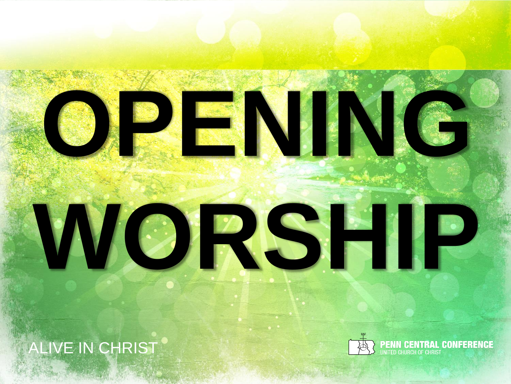

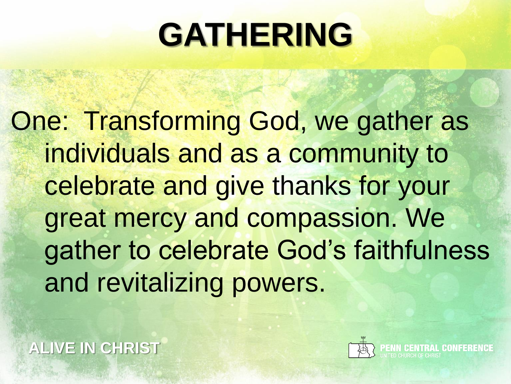#### **GATHERING**

One: Transforming God, we gather as individuals and as a community to celebrate and give thanks for your great mercy and compassion. We gather to celebrate God's faithfulness and revitalizing powers.

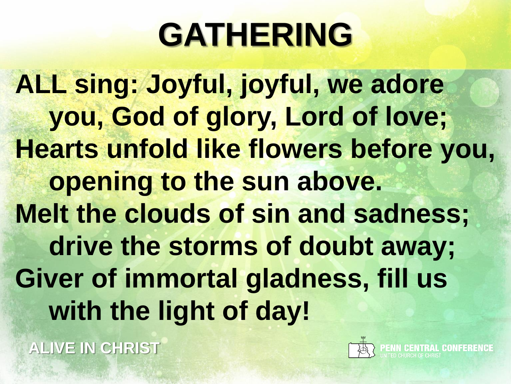### **GATHERING**

**ALL sing: Joyful, joyful, we adore you, God of glory, Lord of love; Hearts unfold like flowers before you, opening to the sun above. Melt the clouds of sin and sadness; drive the storms of doubt away; Giver of immortal gladness, fill us with the light of day!**

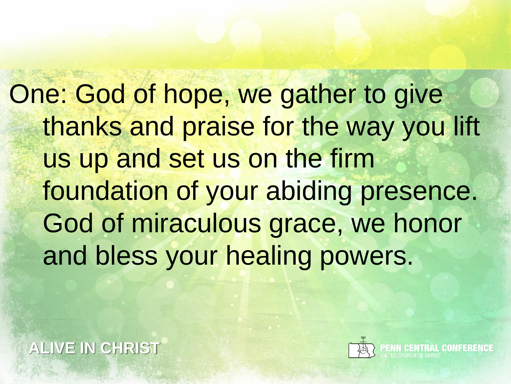One: God of hope, we gather to give thanks and praise for the way you lift us up and set us on the firm foundation of your abiding presence. God of miraculous grace, we honor and bless your healing powers.

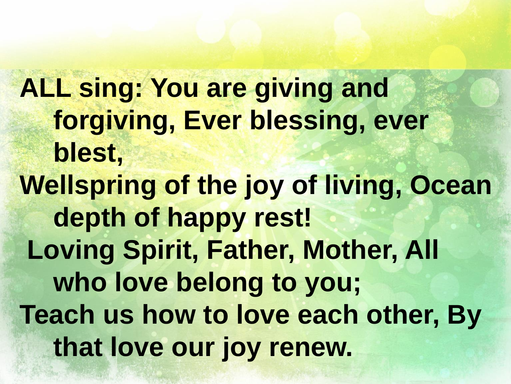**ALL sing: You are giving and forgiving, Ever blessing, ever blest, Wellspring of the joy of living, Ocean depth of happy rest! Loving Spirit, Father, Mother, All who love belong to you; Teach us how to love each other, By that love our joy renew.**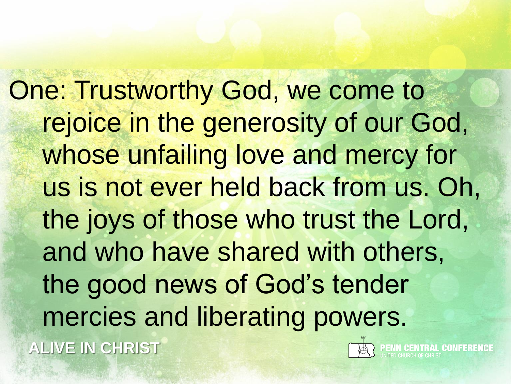**ALIVE IN CHRIST** One: Trustworthy God, we come to rejoice in the generosity of our God, whose unfailing love and mercy for us is not ever held back from us. Oh, the joys of those who trust the Lord, and who have shared with others, the good news of God's tender mercies and liberating powers.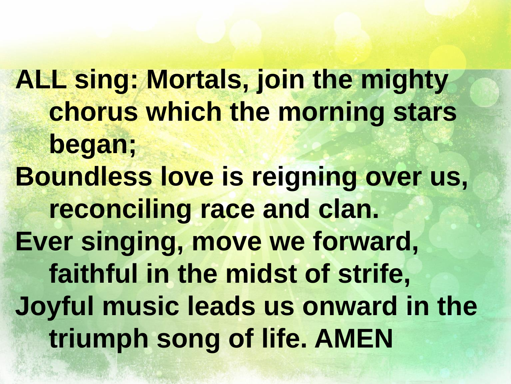**ALL sing: Mortals, join the mighty chorus which the morning stars began; Boundless love is reigning over us, reconciling race and clan. Ever singing, move we forward, faithful in the midst of strife, Joyful music leads us onward in the triumph song of life. AMEN**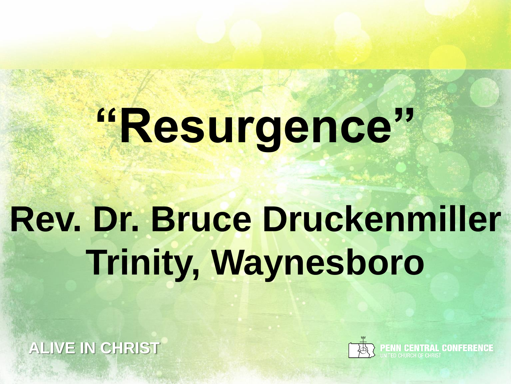# **"Resurgence"**

# **Rev. Dr. Bruce Druckenmiller Trinity, Waynesboro**

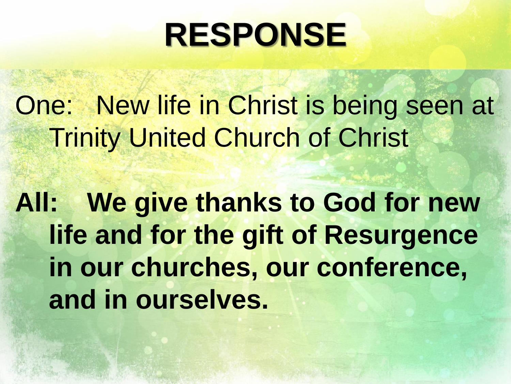#### **RESPONSE**

One: New life in Christ is being seen at Trinity United Church of Christ

**All: We give thanks to God for new life and for the gift of Resurgence in our churches, our conference, and in ourselves.**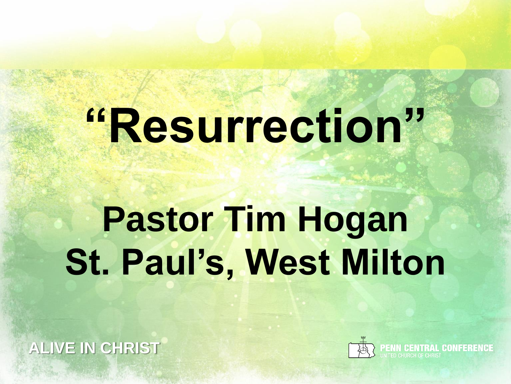# **"Resurrection"**

# **Pastor Tim Hogan St. Paul's, West Milton**

**ALIVE IN CHRIST**



**PENN CENTRAL CONFERENC**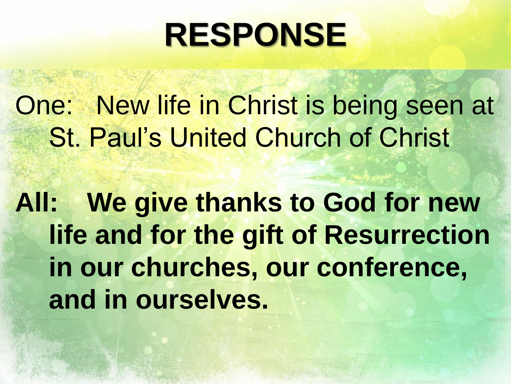#### **RESPONSE**

One: New life in Christ is being seen at St. Paul's United Church of Christ

**All: We give thanks to God for new life and for the gift of Resurrection in our churches, our conference, and in ourselves.**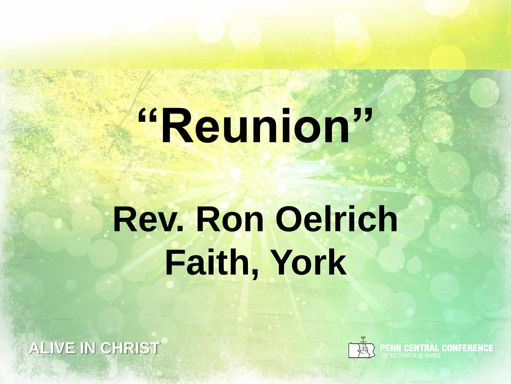# **"Reunion"**

# **Rev. Ron Oelrich Faith, York**

**ALIVE IN CHRIST**



**PENN CENTRAL CONFERENCE**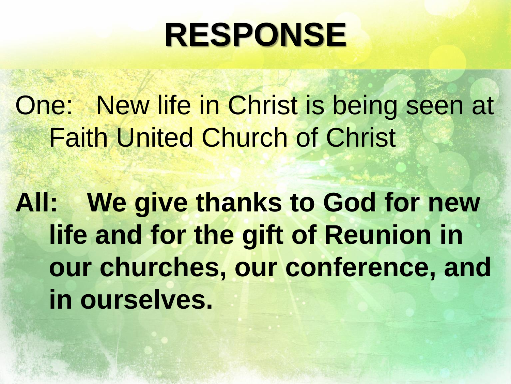#### **RESPONSE**

One: New life in Christ is being seen at Faith United Church of Christ

**All: We give thanks to God for new life and for the gift of Reunion in our churches, our conference, and in ourselves.**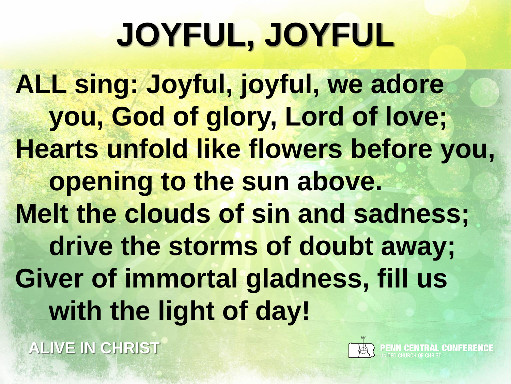### **JOYFUL, JOYFUL**

**ALL sing: Joyful, joyful, we adore you, God of glory, Lord of love; Hearts unfold like flowers before you, opening to the sun above. Melt the clouds of sin and sadness; drive the storms of doubt away; Giver of immortal gladness, fill us with the light of day!**

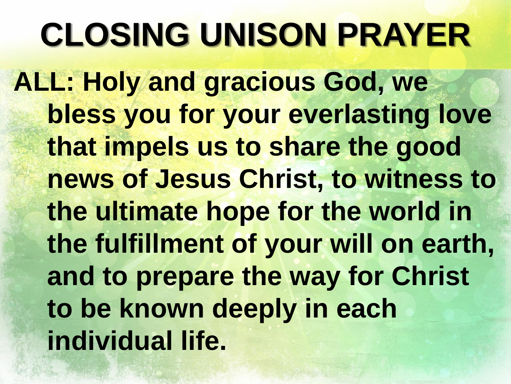### **CLOSING UNISON PRAYER**

**ALL: Holy and gracious God, we bless you for your everlasting love that impels us to share the good news of Jesus Christ, to witness to the ultimate hope for the world in the fulfillment of your will on earth, and to prepare the way for Christ to be known deeply in each individual life.**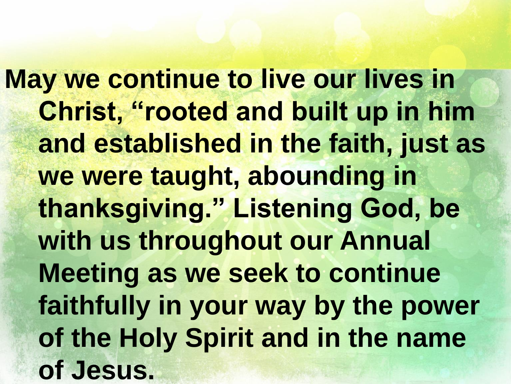**May we continue to live our lives in Christ, "rooted and built up in him and established in the faith, just as we were taught, abounding in thanksgiving." Listening God, be with us throughout our Annual Meeting as we seek to continue faithfully in your way by the power of the Holy Spirit and in the name of Jesus.**